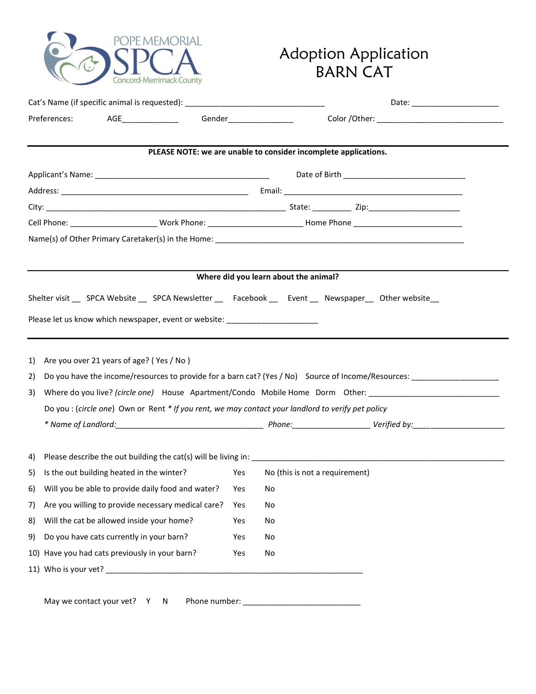

## Adoption Application BARN CAT

| Cat's Name (if specific animal is requested): __________________________________                                          |     | Date: _________________________                                 |  |  |
|---------------------------------------------------------------------------------------------------------------------------|-----|-----------------------------------------------------------------|--|--|
| AGE_________________  Gender_________________<br>Preferences:                                                             |     |                                                                 |  |  |
|                                                                                                                           |     | PLEASE NOTE: we are unable to consider incomplete applications. |  |  |
|                                                                                                                           |     |                                                                 |  |  |
|                                                                                                                           |     |                                                                 |  |  |
|                                                                                                                           |     |                                                                 |  |  |
|                                                                                                                           |     |                                                                 |  |  |
|                                                                                                                           |     |                                                                 |  |  |
|                                                                                                                           |     |                                                                 |  |  |
|                                                                                                                           |     | Where did you learn about the animal?                           |  |  |
| Shelter visit _____SPCA Website ______SPCA Newsletter ________Facebook _______Event _____Newspaper _____Other website ___ |     |                                                                 |  |  |
|                                                                                                                           |     |                                                                 |  |  |
| Please let us know which newspaper, event or website: __________________________                                          |     |                                                                 |  |  |
|                                                                                                                           |     |                                                                 |  |  |
| Are you over 21 years of age? (Yes / No)<br>1)                                                                            |     |                                                                 |  |  |
| Do you have the income/resources to provide for a barn cat? (Yes / No) Source of Income/Resources:<br>2)                  |     |                                                                 |  |  |
| Where do you live? (circle one) House Apartment/Condo Mobile Home Dorm Other: ______________________<br>3)                |     |                                                                 |  |  |
| Do you : (circle one) Own or Rent * If you rent, we may contact your landlord to verify pet policy                        |     |                                                                 |  |  |
|                                                                                                                           |     |                                                                 |  |  |
|                                                                                                                           |     |                                                                 |  |  |
| 4)                                                                                                                        |     |                                                                 |  |  |
| Is the out building heated in the winter?<br>5)                                                                           | Yes | No (this is not a requirement)                                  |  |  |
| 6) Will you be able to provide daily food and water? Yes No                                                               |     |                                                                 |  |  |
| Are you willing to provide necessary medical care?<br>7)                                                                  | Yes | No                                                              |  |  |
| Will the cat be allowed inside your home?<br>8)                                                                           | Yes | No                                                              |  |  |
| Do you have cats currently in your barn?<br>9)                                                                            | Yes | No                                                              |  |  |
| 10) Have you had cats previously in your barn?                                                                            | Yes | No                                                              |  |  |
|                                                                                                                           |     |                                                                 |  |  |
|                                                                                                                           |     |                                                                 |  |  |
| May we contact your vet? Y N                                                                                              |     |                                                                 |  |  |